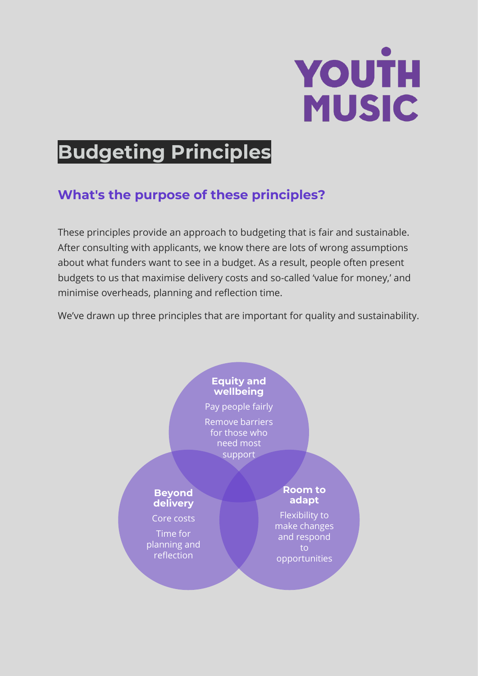# YOUTH **MUSIC**

## **Budgeting Principles**

## **What's the purpose of these principles?**

These principles provide an approach to budgeting that is fair and sustainable. After consulting with applicants, we know there are lots of wrong assumptions about what funders want to see in a budget. As a result, people often present budgets to us that maximise delivery costs and so-called 'value for money,' and minimise overheads, planning and reflection time.

We've drawn up three principles that are important for quality and sustainability.